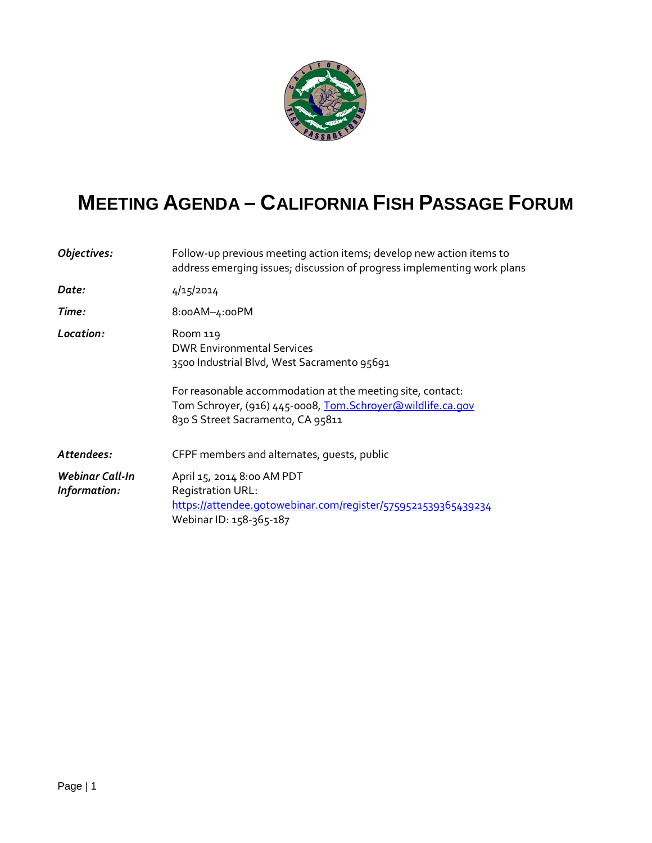

## **MEETING AGENDA – CALIFORNIA FISH PASSAGE FORUM**

| Follow-up previous meeting action items; develop new action items to<br>address emerging issues; discussion of progress implementing work plans                                                                                                                |  |
|----------------------------------------------------------------------------------------------------------------------------------------------------------------------------------------------------------------------------------------------------------------|--|
| 4/15/2014                                                                                                                                                                                                                                                      |  |
| 8:00AM-4:00PM                                                                                                                                                                                                                                                  |  |
| Room 119<br><b>DWR Environmental Services</b><br>3500 Industrial Blvd, West Sacramento 95691<br>For reasonable accommodation at the meeting site, contact:<br>Tom Schroyer, (916) 445-0008, Tom. Schroyer@wildlife.ca.gov<br>830 S Street Sacramento, CA 95811 |  |
| CFPF members and alternates, guests, public                                                                                                                                                                                                                    |  |
| April 15, 2014 8:00 AM PDT                                                                                                                                                                                                                                     |  |
| <b>Registration URL:</b><br>https://attendee.gotowebinar.com/register/5759521539365439234<br>Webinar ID: 158-365-187                                                                                                                                           |  |
|                                                                                                                                                                                                                                                                |  |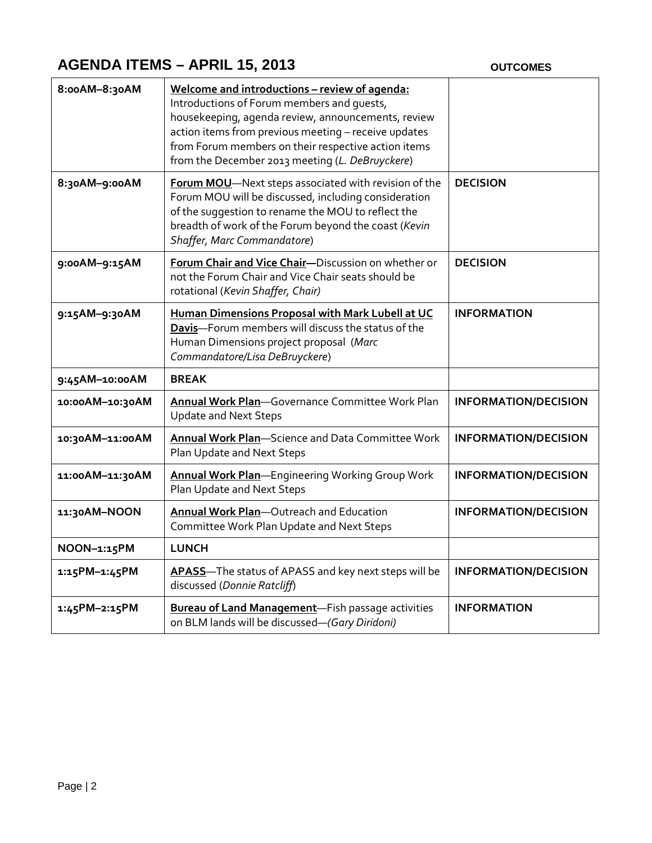## **AGENDA ITEMS – APRIL 15, 2013 OUTCOMES**

| 8:00AM-8:30AM   | Welcome and introductions - review of agenda:<br>Introductions of Forum members and quests,<br>housekeeping, agenda review, announcements, review<br>action items from previous meeting - receive updates<br>from Forum members on their respective action items<br>from the December 2013 meeting (L. DeBruyckere) |                             |
|-----------------|---------------------------------------------------------------------------------------------------------------------------------------------------------------------------------------------------------------------------------------------------------------------------------------------------------------------|-----------------------------|
| 8:30AM-9:00AM   | Forum MOU-Next steps associated with revision of the<br>Forum MOU will be discussed, including consideration<br>of the suggestion to rename the MOU to reflect the<br>breadth of work of the Forum beyond the coast (Kevin<br>Shaffer, Marc Commandatore)                                                           | <b>DECISION</b>             |
| 9:00AM-9:15AM   | Forum Chair and Vice Chair-Discussion on whether or<br>not the Forum Chair and Vice Chair seats should be<br>rotational (Kevin Shaffer, Chair)                                                                                                                                                                      | <b>DECISION</b>             |
| 9:15AM-9:30AM   | Human Dimensions Proposal with Mark Lubell at UC<br>Davis-Forum members will discuss the status of the<br>Human Dimensions project proposal (Marc<br>Commandatore/Lisa DeBruyckere)                                                                                                                                 | <b>INFORMATION</b>          |
| 9:45AM-10:00AM  | <b>BREAK</b>                                                                                                                                                                                                                                                                                                        |                             |
| 10:00AM-10:30AM | Annual Work Plan-Governance Committee Work Plan<br><b>Update and Next Steps</b>                                                                                                                                                                                                                                     | <b>INFORMATION/DECISION</b> |
| 10:30AM-11:00AM | <b>Annual Work Plan-Science and Data Committee Work</b><br>Plan Update and Next Steps                                                                                                                                                                                                                               | <b>INFORMATION/DECISION</b> |
| 11:00AM-11:30AM | Annual Work Plan-Engineering Working Group Work<br>Plan Update and Next Steps                                                                                                                                                                                                                                       | <b>INFORMATION/DECISION</b> |
| 11:30AM-NOON    | Annual Work Plan-Outreach and Education<br>Committee Work Plan Update and Next Steps                                                                                                                                                                                                                                | <b>INFORMATION/DECISION</b> |
| NOON-1:15PM     | <b>LUNCH</b>                                                                                                                                                                                                                                                                                                        |                             |
| 1:15PM-1:45PM   | APASS-The status of APASS and key next steps will be<br>discussed (Donnie Ratcliff)                                                                                                                                                                                                                                 | <b>INFORMATION/DECISION</b> |
| 1:45PM-2:15PM   | <b>Bureau of Land Management</b> -Fish passage activities<br>on BLM lands will be discussed-(Gary Diridoni)                                                                                                                                                                                                         | <b>INFORMATION</b>          |